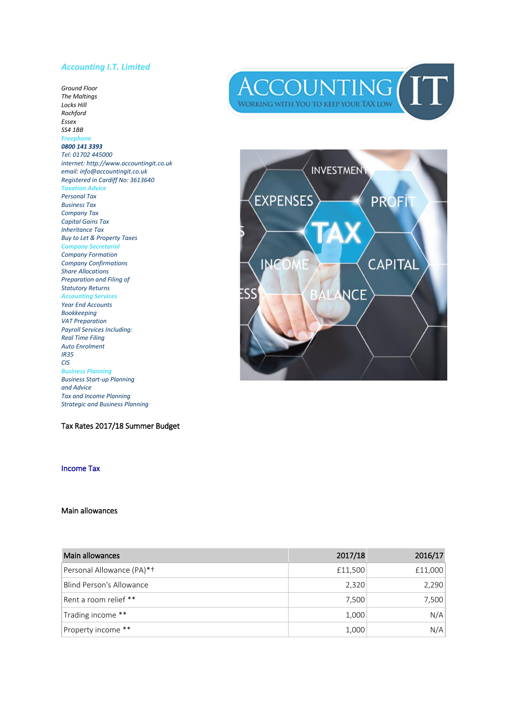#### *Accounting I.T. Limited*

*Ground Floor The Maltings Locks Hill Rochford Essex SS4 1BB Freephone 0800 141 3393 Tel: 01702 445000 internet: http://www.accountingit.co.uk email: info@accountingit.co.uk Registered in Cardiff No: 3613640 Taxation Advice Personal Tax Business Tax Company Tax Capital Gains Tax Inheritance Tax Buy to Let & Property Taxes Company Secretarial Company Formation Company Confirmations Share Allocations Preparation and Filing of Statutory Returns Accounting Services Year End Accounts Bookkeeping VAT Preparation Payroll Services Including: Real Time Filing Auto Enrolment IR35 CIS Business Planning Business Start -up Planning and Advice Tax and Income Planning Strategic and Business Planning*

Tax Rates 2017/18 Summer Budget

#### Income Tax

#### Main allowances





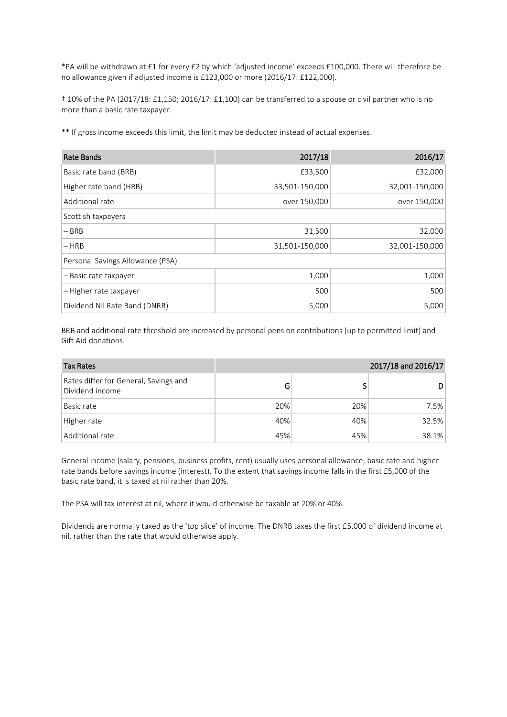\*PA will be withdrawn at £1 for every £2 by which 'adjusted income' exceeds £100,000. There will therefore be no allowance given if adjusted income is £123,000 or more (2016/17: £122,000).

† 10% of the PA (2017/18: £1,150; 2016/17: £1,100) can be transferred to a spouse or civil partner who is no more than a basic rate taxpayer.

\*\* If gross income exceeds this limit, the limit may be deducted instead of actual expenses.

| Rate Bands                       | 2017/18        | 2016/17        |
|----------------------------------|----------------|----------------|
| Basic rate band (BRB)            | £33,500        | £32,000        |
| Higher rate band (HRB)           | 33,501-150,000 | 32,001-150,000 |
| Additional rate                  | over 150,000   | over 150,000   |
| Scottish taxpayers               |                |                |
| $-$ BRB                          | 31,500         | 32,000         |
| $- HRB$                          | 31,501-150,000 | 32,001-150,000 |
| Personal Savings Allowance (PSA) |                |                |
| - Basic rate taxpayer            | 1,000          | 1,000          |
| – Higher rate taxpayer           | 500            | 500            |
| Dividend Nil Rate Band (DNRB)    | 5,000          | 5,000          |

BRB and additional rate threshold are increased by personal pension contributions (up to permitted limit) and Gift Aid donations.

| <b>Tax Rates</b>                                         |     |     | 2017/18 and 2016/17 |
|----------------------------------------------------------|-----|-----|---------------------|
| Rates differ for General, Savings and<br>Dividend income | G   |     | D                   |
| Basic rate                                               | 20% | 20% | 7.5%                |
| Higher rate                                              | 40% | 40% | 32.5%               |
| Additional rate                                          | 45% | 45% | 38.1%               |

General income (salary, pensions, business profits, rent) usually uses personal allowance, basic rate and higher rate bands before savings income (interest). To the extent that savings income falls in the first £5,000 of the basic rate band, it is taxed at nil rather than 20%.

The PSA will tax interest at nil, where it would otherwise be taxable at 20% or 40%.

Dividends are normally taxed as the 'top slice' of income. The DNRB taxes the first £5,000 of dividend income at nil, rather than the rate that would otherwise apply.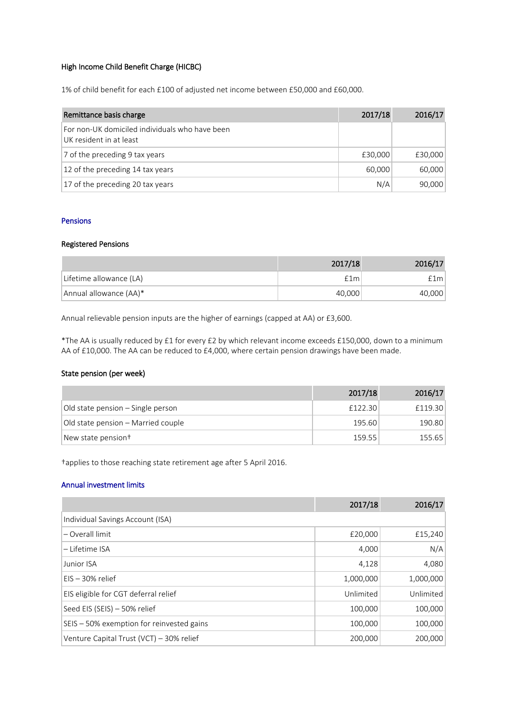## High Income Child Benefit Charge (HICBC)

1% of child benefit for each £100 of adjusted net income between £50,000 and £60,000.

| Remittance basis charge                                                   | 2017/18 | 2016/17 |
|---------------------------------------------------------------------------|---------|---------|
| For non-UK domiciled individuals who have been<br>UK resident in at least |         |         |
| 7 of the preceding 9 tax years                                            | £30,000 | £30,000 |
| 12 of the preceding 14 tax years                                          | 60,000  | 60,000  |
| 17 of the preceding 20 tax years                                          | N/A     | 90,000  |

### Pensions

# Registered Pensions

|                         | 2017/18 | 2016/17 |
|-------------------------|---------|---------|
| Lifetime allowance (LA) | f1m     | £1ml    |
| Annual allowance (AA)*  | 40.000  | 40,000  |

Annual relievable pension inputs are the higher of earnings (capped at AA) or £3,600.

\*The AA is usually reduced by £1 for every £2 by which relevant income exceeds £150,000, down to a minimum AA of £10,000. The AA can be reduced to £4,000, where certain pension drawings have been made.

#### State pension (per week)

|                                    | 2017/18 | 2016/17 |
|------------------------------------|---------|---------|
| Old state pension – Single person  | £122.30 | £119.30 |
| Old state pension – Married couple | 195.60  | 190.80  |
| New state pension <sup>+</sup>     | 159.55  | 155.65  |

†applies to those reaching state retirement age after 5 April 2016.

### Annual investment limits

|                                           | 2017/18   | 2016/17   |
|-------------------------------------------|-----------|-----------|
| Individual Savings Account (ISA)          |           |           |
| - Overall limit                           | £20,000   | £15,240   |
| – Lifetime ISA                            | 4,000     | N/A       |
| Junior ISA                                | 4,128     | 4,080     |
| $EIS - 30\%$ relief                       | 1,000,000 | 1,000,000 |
| EIS eligible for CGT deferral relief      | Unlimited | Unlimited |
| Seed EIS (SEIS) - 50% relief              | 100,000   | 100,000   |
| SEIS - 50% exemption for reinvested gains | 100,000   | 100,000   |
| Venture Capital Trust (VCT) - 30% relief  | 200,000   | 200,000   |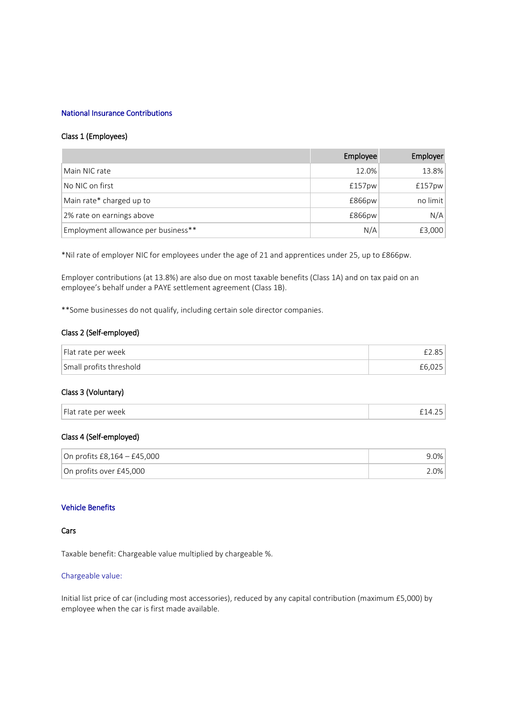### National Insurance Contributions

#### Class 1 (Employees)

|                                     | Employee | Employer |
|-------------------------------------|----------|----------|
| Main NIC rate                       | 12.0%    | 13.8%    |
| No NIC on first                     | £157pw   | £157pw   |
| Main rate* charged up to            | £866pw   | no limit |
| 2% rate on earnings above           | £866pw   | N/A      |
| Employment allowance per business** | N/A      | £3,000   |

\*Nil rate of employer NIC for employees under the age of 21 and apprentices under 25, up to £866pw.

Employer contributions (at 13.8%) are also due on most taxable benefits (Class 1A) and on tax paid on an employee's behalf under a PAYE settlement agreement (Class 1B).

\*\*Some businesses do not qualify, including certain sole director companies.

## Class 2 (Self-employed)

| Flat rate per week      |  |
|-------------------------|--|
| Small profits threshold |  |

## Class 3 (Voluntary)

### Class 4 (Self-employed)

| On profits £8,164 – £45,000 | .0%     |
|-----------------------------|---------|
| On profits over £45,000     | $2.0\%$ |

### Vehicle Benefits

### Cars

Taxable benefit: Chargeable value multiplied by chargeable %.

#### Chargeable value:

Initial list price of car (including most accessories), reduced by any capital contribution (maximum £5,000) by employee when the car is first made available.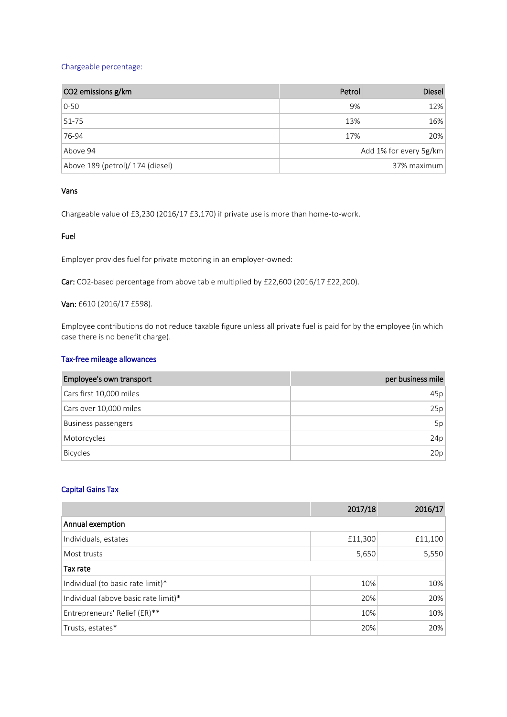### Chargeable percentage:

| CO2 emissions g/km               | Petrol                 | <b>Diesel</b> |
|----------------------------------|------------------------|---------------|
| $0-50$                           | 9%                     | 12%           |
| $51 - 75$                        | 13%                    | 16%           |
| 76-94                            | 17%                    | 20%           |
| Above 94                         | Add 1% for every 5g/km |               |
| Above 189 (petrol)/ 174 (diesel) | 37% maximum            |               |

### Vans

Chargeable value of £3,230 (2016/17 £3,170) if private use is more than home-to-work.

#### Fuel

Employer provides fuel for private motoring in an employer-owned:

Car: CO2-based percentage from above table multiplied by £22,600 (2016/17 £22,200).

## Van: £610 (2016/17 £598).

Employee contributions do not reduce taxable figure unless all private fuel is paid for by the employee (in which case there is no benefit charge).

## Tax-free mileage allowances

| Employee's own transport | per business mile |
|--------------------------|-------------------|
| Cars first 10,000 miles  | 45p               |
| Cars over 10,000 miles   | 25p               |
| Business passengers      | 5p                |
| Motorcycles              | 24p               |
| <b>Bicycles</b>          | 20p               |

#### Capital Gains Tax

|                                      | 2017/18 | 2016/17 |
|--------------------------------------|---------|---------|
| Annual exemption                     |         |         |
| Individuals, estates                 | £11,300 | £11,100 |
| Most trusts                          | 5,650   | 5,550   |
| Tax rate                             |         |         |
| Individual (to basic rate limit)*    | 10%     | 10%     |
| Individual (above basic rate limit)* | 20%     | 20%     |
| Entrepreneurs' Relief (ER)**         | 10%     | 10%     |
| Trusts, estates*                     | 20%     | 20%     |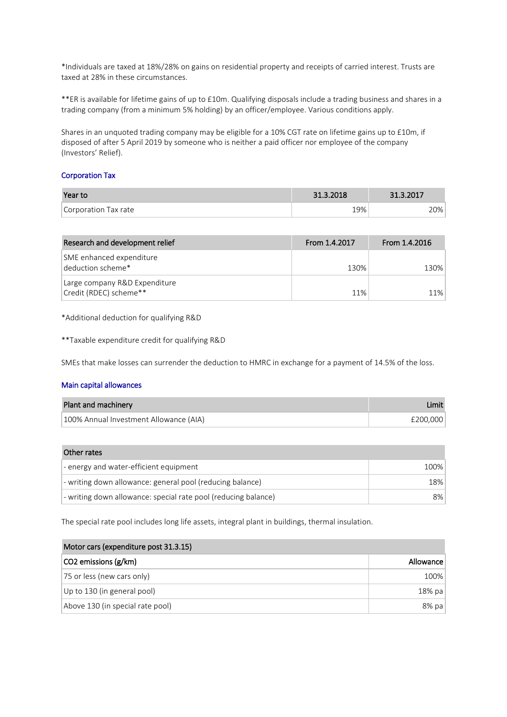\*Individuals are taxed at 18%/28% on gains on residential property and receipts of carried interest. Trusts are taxed at 28% in these circumstances.

\*\*ER is available for lifetime gains of up to £10m. Qualifying disposals include a trading business and shares in a trading company (from a minimum 5% holding) by an officer/employee. Various conditions apply.

Shares in an unquoted trading company may be eligible for a 10% CGT rate on lifetime gains up to £10m, if disposed of after 5 April 2019 by someone who is neither a paid officer nor employee of the company (Investors' Relief).

#### Corporation Tax

| Year to              | 31.3.2018 | 31.3.2017 |
|----------------------|-----------|-----------|
| Corporation Tax rate | 19%       | 20%       |

| Research and development relief                         | From 1.4.2017 | From 1.4.2016 |
|---------------------------------------------------------|---------------|---------------|
| SME enhanced expenditure<br>deduction scheme*           | 130%          | 130%          |
| Large company R&D Expenditure<br>Credit (RDEC) scheme** | 11%           | 11%           |

\*Additional deduction for qualifying R&D

\*\*Taxable expenditure credit for qualifying R&D

SMEs that make losses can surrender the deduction to HMRC in exchange for a payment of 14.5% of the loss.

#### Main capital allowances

| Plant and machinery                    | Limit    |
|----------------------------------------|----------|
| 100% Annual Investment Allowance (AIA) | £200.000 |

| Other rates                                                    |       |
|----------------------------------------------------------------|-------|
| $\vert$ - energy and water-efficient equipment                 | 100%  |
| - writing down allowance: general pool (reducing balance)      | 18%   |
| - writing down allowance: special rate pool (reducing balance) | $8\%$ |

The special rate pool includes long life assets, integral plant in buildings, thermal insulation.

| Motor cars (expenditure post 31.3.15) |           |
|---------------------------------------|-----------|
| CO2 emissions (g/km)                  | Allowance |
| 75 or less (new cars only)            | 100%      |
| Up to 130 (in general pool)           | 18% pa    |
| Above 130 (in special rate pool)      | $8%$ pa   |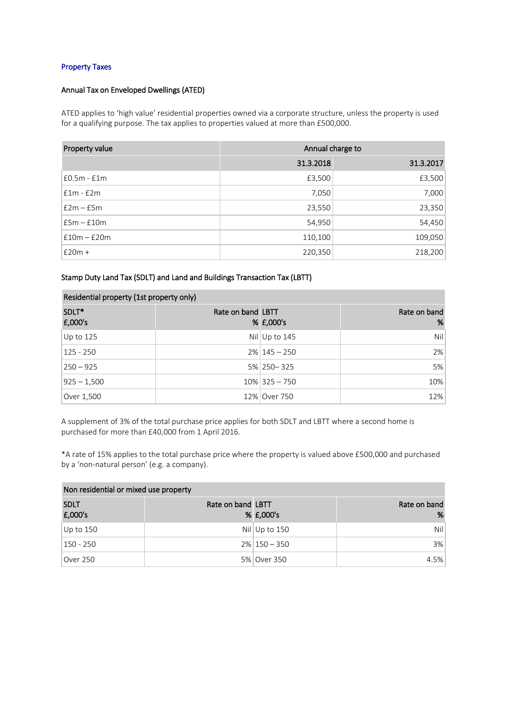### Property Taxes

## Annual Tax on Enveloped Dwellings (ATED)

ATED applies to 'high value' residential properties owned via a corporate structure, unless the property is used for a qualifying purpose. The tax applies to properties valued at more than £500,000.

| Property value | Annual charge to |           |
|----------------|------------------|-----------|
|                | 31.3.2018        | 31.3.2017 |
| £0.5m - £1m    | £3,500           | £3,500    |
| $f1m - f2m$    | 7,050            | 7,000     |
| $f2m - f5m$    | 23,550           | 23,350    |
| $E5m - E10m$   | 54,950           | 54,450    |
| $f10m - f20m$  | 110,100          | 109,050   |
| $£20m +$       | 220,350          | 218,200   |

Stamp Duty Land Tax (SDLT) and Land and Buildings Transaction Tax (LBTT)

| Residential property (1st property only) |                   |                   |                   |
|------------------------------------------|-------------------|-------------------|-------------------|
| SDLT*<br>E,000's                         | Rate on band LBTT | % £,000's         | Rate on band<br>% |
| Up to $125$                              |                   | $Nil$ Up to 145   | Nil               |
| $125 - 250$                              |                   | $2\%$   145 - 250 | 2%                |
| $250 - 925$                              |                   | 5% 250 - 325      | 5%                |
| $925 - 1,500$                            |                   | $10\%$ 325 - 750  | 10%               |
| Over 1,500                               |                   | 12% Over 750      | 12%               |

A supplement of 3% of the total purchase price applies for both SDLT and LBTT where a second home is purchased for more than £40,000 from 1 April 2016.

\*A rate of 15% applies to the total purchase price where the property is valued above £500,000 and purchased by a 'non-natural person' (e.g. a company).

| Non residential or mixed use property |                   |                   |                   |
|---------------------------------------|-------------------|-------------------|-------------------|
| <b>SDLT</b><br>£,000's                | Rate on band LBTT | % £,000's         | Rate on band<br>% |
|                                       |                   |                   |                   |
| Up to 150                             |                   | Nil Up to $150$   | Nil l             |
| 150 - 250                             |                   | $2\%$   150 - 350 | 3%                |
| Over 250                              |                   | 5% Over 350       | 4.5%              |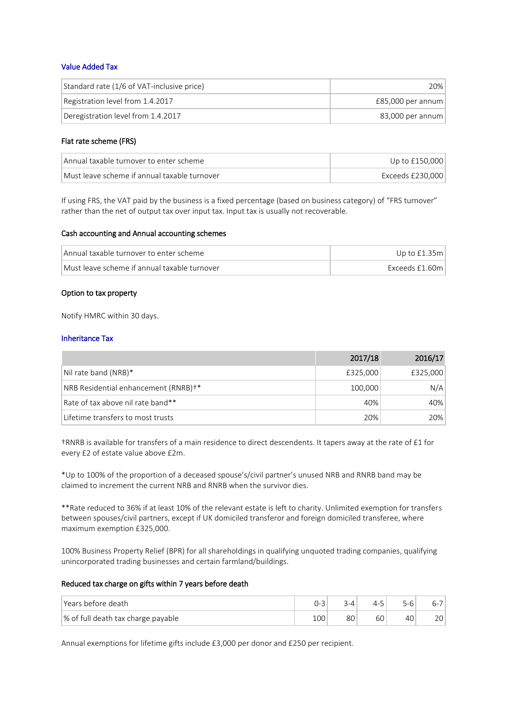### Value Added Tax

| Standard rate (1/6 of VAT-inclusive price) | 20%                 |
|--------------------------------------------|---------------------|
| Registration level from 1.4.2017           | $£85,000$ per annum |
| Deregistration level from 1.4.2017         | 83,000 per annum    |

### Flat rate scheme (FRS)

| Annual taxable turnover to enter scheme      | Up to $£150,000$   |
|----------------------------------------------|--------------------|
| Must leave scheme if annual taxable turnover | Exceeds £230.000 l |

If using FRS, the VAT paid by the business is a fixed percentage (based on business category) of "FRS turnover" rather than the net of output tax over input tax. Input tax is usually not recoverable.

#### Cash accounting and Annual accounting schemes

| Annual taxable turnover to enter scheme      | Up to $£1.35m$ |
|----------------------------------------------|----------------|
| Must leave scheme if annual taxable turnover | Exceeds £1.60m |

#### Option to tax property

Notify HMRC within 30 days.

#### Inheritance Tax

|                                                  | 2017/18  | 2016/17  |
|--------------------------------------------------|----------|----------|
| Nil rate band (NRB)*                             | £325,000 | £325,000 |
| NRB Residential enhancement (RNRB) <sup>+*</sup> | 100,000  | N/A      |
| Rate of tax above nil rate band**                | 40%      | 40%      |
| Lifetime transfers to most trusts                | 20%      | 20%      |

†RNRB is available for transfers of a main residence to direct descendents. It tapers away at the rate of £1 for every £2 of estate value above £2m.

\*Up to 100% of the proportion of a deceased spouse's/civil partner's unused NRB and RNRB band may be claimed to increment the current NRB and RNRB when the survivor dies.

\*\*Rate reduced to 36% if at least 10% of the relevant estate is left to charity. Unlimited exemption for transfers between spouses/civil partners, except if UK domiciled transferor and foreign domiciled transferee, where maximum exemption £325,000.

100% Business Property Relief (BPR) for all shareholdings in qualifying unquoted trading companies, qualifying unincorporated trading businesses and certain farmland/buildings.

## Reduced tax charge on gifts within 7 years before death

| l Years before death               |               |    | 4-5<br><u>.</u> |    | n-          |
|------------------------------------|---------------|----|-----------------|----|-------------|
| % of full death tax charge payable | $\cap$<br>TNN | 80 | ьu              | tv | $\cap \cap$ |

Annual exemptions for lifetime gifts include £3,000 per donor and £250 per recipient.